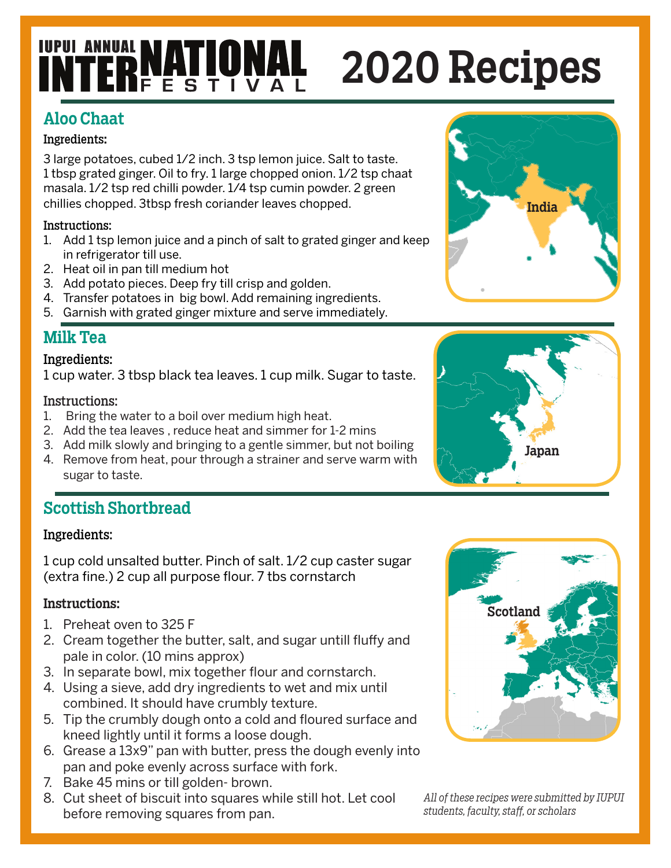## **INTERNATIONAL** 2020 Recipes

## Aloo Chaat

## Ingredients:

3 large potatoes, cubed 1/2 inch. 3 tsp lemon juice. Salt to taste. 1 tbsp grated ginger. Oil to fry. 1 large chopped onion. 1/2 tsp chaat masala. 1/2 tsp red chilli powder. 1/4 tsp cumin powder. 2 green chillies chopped. 3tbsp fresh coriander leaves chopped.

## Instructions:

- 1. Add 1 tsp lemon juice and a pinch of salt to grated ginger and keep in refrigerator till use.
- 2. Heat oil in pan till medium hot
- 3. Add potato pieces. Deep fry till crisp and golden.
- 4. Transfer potatoes in big bowl. Add remaining ingredients.
- 5. Garnish with grated ginger mixture and serve immediately.

## Milk Tea

## Ingredients:

1 cup water. 3 tbsp black tea leaves. 1 cup milk. Sugar to taste.

### Instructions:

- 1. Bring the water to a boil over medium high heat.
- 2. Add the tea leaves , reduce heat and simmer for 1-2 mins
- 3. Add milk slowly and bringing to a gentle simmer, but not boiling 4. Remove from heat, pour through a strainer and serve warm with
- sugar to taste.

## Scottish Shortbread

### Ingredients:

1 cup cold unsalted butter. Pinch of salt. 1/2 cup caster sugar (extra fine.) 2 cup all purpose flour. 7 tbs cornstarch

## Instructions:

- 1. Preheat oven to 325 F
- 2. Cream together the butter, salt, and sugar untill fluffy and pale in color. (10 mins approx)
- 3. In separate bowl, mix together flour and cornstarch.
- 4. Using a sieve, add dry ingredients to wet and mix until combined. It should have crumbly texture.
- 5. Tip the crumbly dough onto a cold and floured surface and kneed lightly until it forms a loose dough.
- 6. Grease a 13x9" pan with butter, press the dough evenly into pan and poke evenly across surface with fork.
- 7. Bake 45 mins or till golden- brown.
- 8. Cut sheet of biscuit into squares while still hot. Let cool before removing squares from pan.